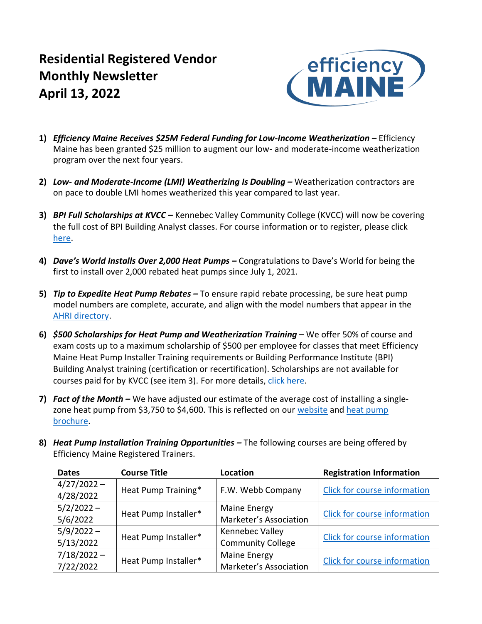# **Residential Registered Vendor Monthly Newsletter April 13, 2022**



- **1)** *Efficiency Maine Receives \$25M Federal Funding for Low-Income Weatherization –* Efficiency Maine has been granted \$25 million to augment our low- and moderate-income weatherization program over the next four years.
- **2)** *Low- and Moderate-Income (LMI) Weatherizing Is Doubling –* Weatherization contractors are on pace to double LMI homes weatherized this year compared to last year.
- **3)** *BPI Full Scholarships at KVCC –* Kennebec Valley Community College (KVCC) will now be covering the full cost of BPI Building Analyst classes. For course information or to register, please click [here.](https://www.kvcc.me.edu/professional-development/schedule-of-current-programs/#bpi)
- **4)** *Dave's World Installs Over 2,000 Heat Pumps –* Congratulations to Dave's World for being the first to install over 2,000 rebated heat pumps since July 1, 2021.
- **5)** *Tip to Expedite Heat Pump Rebates –* To ensure rapid rebate processing, be sure heat pump model numbers are complete, accurate, and align with the model numbers that appear in the [AHRI directory.](https://www.ahridirectory.org/Search/SearchHome)
- **6)** *\$500 Scholarships for Heat Pump and Weatherization Training –* We offer 50% of course and exam costs up to a maximum scholarship of \$500 per employee for classes that meet Efficiency Maine Heat Pump Installer Training requirements or Building Performance Institute (BPI) Building Analyst training (certification or recertification). Scholarships are not available for courses paid for by KVCC (see item 3). For more details, [click here.](mailto:https://www.efficiencymaine.com/docs/RRV-Scholarship-Application.pdf)
- **7)** *Fact of the Month* We have adjusted our estimate of the average cost of installing a singlezone heat pump from \$3,750 to \$4,600. This is reflected on our [website](https://www.efficiencymaine.com/heat-pumps/) and heat pump [brochure.](https://www.efficiencymaine.com/docs/Heat-Pump-Rebate-Brochure.pdf)
- **8)** *Heat Pump Installation Training Opportunities –* The following courses are being offered by Efficiency Maine Registered Trainers.

| <b>Dates</b>  | <b>Course Title</b>  | Location                 | <b>Registration Information</b>     |  |  |  |
|---------------|----------------------|--------------------------|-------------------------------------|--|--|--|
| $4/27/2022 -$ | Heat Pump Training*  | F.W. Webb Company        |                                     |  |  |  |
| 4/28/2022     |                      |                          | Click for course information        |  |  |  |
| $5/2/2022 -$  | Heat Pump Installer* | Maine Energy             | <b>Click for course information</b> |  |  |  |
| 5/6/2022      |                      | Marketer's Association   |                                     |  |  |  |
| $5/9/2022 -$  |                      | Kennebec Valley          | Click for course information        |  |  |  |
| 5/13/2022     | Heat Pump Installer* | <b>Community College</b> |                                     |  |  |  |
| $7/18/2022 -$ |                      | Maine Energy             | Click for course information        |  |  |  |
| 7/22/2022     | Heat Pump Installer* | Marketer's Association   |                                     |  |  |  |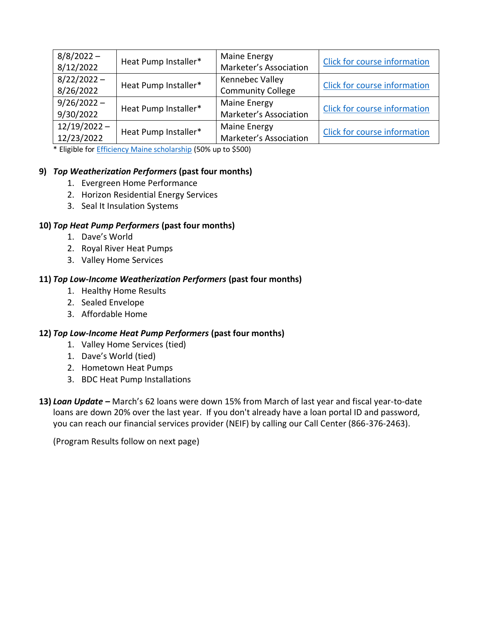| $8/8/2022 -$<br>8/12/2022    | Heat Pump Installer* | Maine Energy<br>Marketer's Association        | Click for course information        |
|------------------------------|----------------------|-----------------------------------------------|-------------------------------------|
| $8/22/2022 -$<br>8/26/2022   | Heat Pump Installer* | Kennebec Valley<br><b>Community College</b>   | <b>Click for course information</b> |
| $9/26/2022 -$<br>9/30/2022   | Heat Pump Installer* | Maine Energy<br>Marketer's Association        | Click for course information        |
| $12/19/2022 -$<br>12/23/2022 | Heat Pump Installer* | <b>Maine Energy</b><br>Marketer's Association | <b>Click for course information</b> |

\* Eligible fo[r Efficiency Maine scholarship](https://www.efficiencymaine.com/docs/RRV-Scholarship-Application.pdf) (50% up to \$500)

## **9)** *Top Weatherization Performers* **(past four months)**

- 1. Evergreen Home Performance
- 2. Horizon Residential Energy Services
- 3. Seal It Insulation Systems

## **10)** *Top Heat Pump Performers* **(past four months)**

- 1. Dave's World
- 2. Royal River Heat Pumps
- 3. Valley Home Services

## **11)** *Top Low-Income Weatherization Performers* **(past four months)**

- 1. Healthy Home Results
- 2. Sealed Envelope
- 3. Affordable Home

## **12)** *Top Low-Income Heat Pump Performers* **(past four months)**

- 1. Valley Home Services (tied)
- 1. Dave's World (tied)
- 2. Hometown Heat Pumps
- 3. BDC Heat Pump Installations
- **13)** *Loan Update –* March's 62 loans were down 15% from March of last year and fiscal year-to-date loans are down 20% over the last year. If you don't already have a loan portal ID and password, you can reach our financial services provider (NEIF) by calling our Call Center (866-376-2463).

(Program Results follow on next page)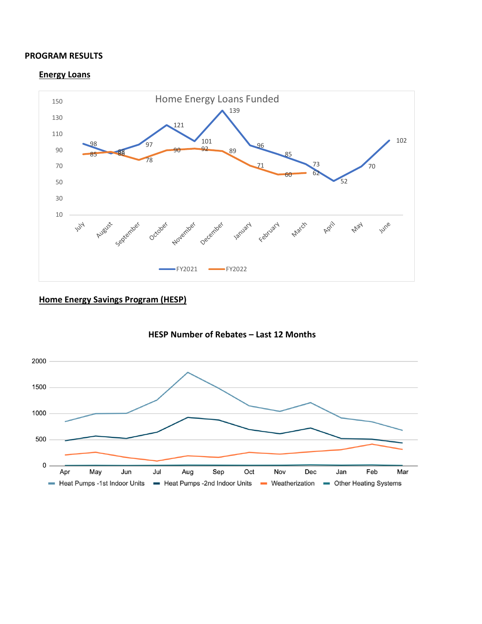#### **PROGRAM RESULTS**

#### **Energy Loans**



## **Home Energy Savings Program (HESP)**



## **HESP Number of Rebates – Last 12 Months**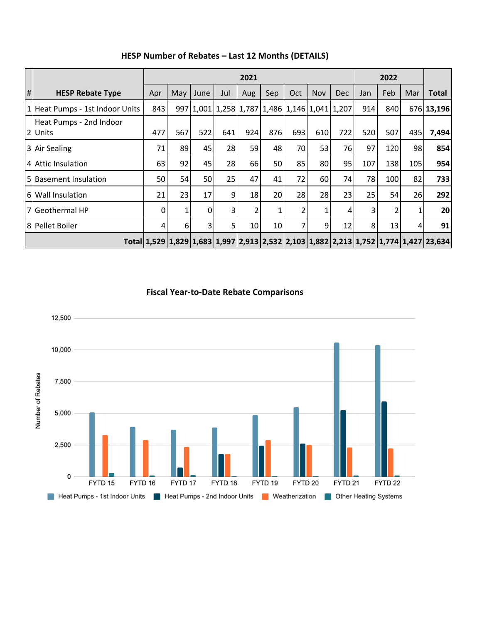|   |                                    | 2021 |     |      |                |                                               |     |     |            |            |     |     |     |                                                                                                                |
|---|------------------------------------|------|-----|------|----------------|-----------------------------------------------|-----|-----|------------|------------|-----|-----|-----|----------------------------------------------------------------------------------------------------------------|
| # | <b>HESP Rebate Type</b>            | Apr  | May | June | Jul            | Aug                                           | Sep | Oct | <b>Nov</b> | <b>Dec</b> | Jan | Feb | Mar | <b>Total</b>                                                                                                   |
|   | 1 Heat Pumps - 1st Indoor Units    | 843  |     |      |                | 997 1,001 1,258 1,787 1,486 1,146 1,041 1,207 |     |     |            |            | 914 | 840 |     | 676 13,196                                                                                                     |
|   | Heat Pumps - 2nd Indoor<br>2 Units | 477  | 567 | 522  | 641            | 924                                           | 876 | 693 | 610        | 722        | 520 | 507 | 435 | 7,494                                                                                                          |
|   | 3 Air Sealing                      | 71   | 89  | 45   | 28             | 59                                            | 48  | 70  | 53         | 76         | 97  | 120 | 98  | 854                                                                                                            |
|   | 4 Attic Insulation                 | 63   | 92  | 45   | 28             | 66                                            | 50  | 85  | 80         | 95         | 107 | 138 | 105 | 954                                                                                                            |
|   | 5 Basement Insulation              | 50   | 54  | 50   | 25             | 47                                            | 41  | 72  | 60         | 74         | 78  | 100 | 82  | 733                                                                                                            |
|   | 6 Wall Insulation                  | 21   | 23  | 17   | 9              | 18                                            | 20  | 28  | 28         | 23         | 25  | 54  | 26  | 292                                                                                                            |
|   | 7 Geothermal HP                    | 0    | 1   | 0    | $\overline{3}$ | 2                                             | 1   | 2   |            | 4          | 3   |     |     | 20                                                                                                             |
|   | 8 Pellet Boiler                    | 4    | 6   | 3    | 5 <sub>l</sub> | 10                                            | 10  | 7   | 9          | 12         | 8   | 13  | 4   | 91                                                                                                             |
|   |                                    |      |     |      |                |                                               |     |     |            |            |     |     |     | Total   1,529   1,829   1,683   1,997   2,913   2,532   2,103   1,882   2,213   1,752   1,774   1,427   23,634 |

## **HESP Number of Rebates – Last 12 Months (DETAILS)**

**Fiscal Year-to-Date Rebate Comparisons**

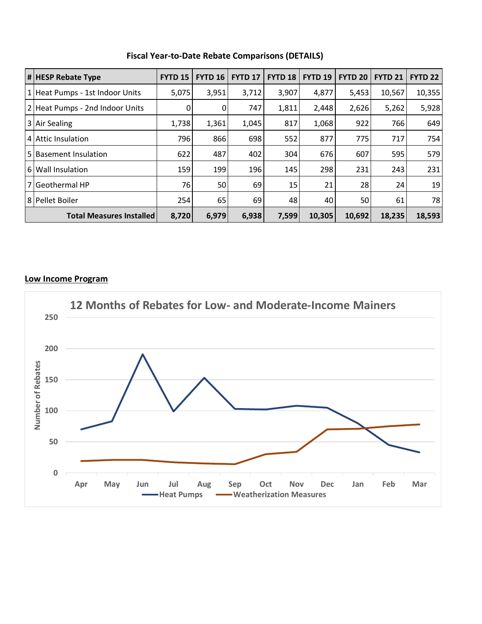| $\left  \texttt{H} \right $ HESP Rebate Type | <b>FYTD 15</b> | <b>FYTD 16</b> | <b>FYTD 17</b> | <b>FYTD 18</b> | <b>FYTD 19</b> | <b>FYTD 20</b> | <b>FYTD 21</b> | <b>FYTD 22</b> |
|----------------------------------------------|----------------|----------------|----------------|----------------|----------------|----------------|----------------|----------------|
| 1 Heat Pumps - 1st Indoor Units              | 5,075          | 3,951          | 3,712          | 3,907          | 4,877          | 5,453          | 10,567         | 10,355         |
| 2 Heat Pumps - 2nd Indoor Units              |                | 0              | 747            | 1,811          | 2,448          | 2,626          | 5,262          | 5,928          |
| 3 Air Sealing                                | 1,738          | 1,361          | 1,045          | 817            | 1,068          | 922            | 766            | 649            |
| 4 Attic Insulation                           | 796            | 866            | 698            | 552            | 877            | 775            | 717            | 754            |
| 5 Basement Insulation                        | 622            | 487            | 402            | 304            | 676            | 607            | 595            | 579            |
| 6 Wall Insulation                            | 159            | 199            | 196            | 145            | 298            | 231            | 243            | 231            |
| 7 Geothermal HP                              | 76             | 50             | 69             | 15             | 21             | 28             | 24             | 19             |
| 8 Pellet Boiler                              | 254            | 65             | 69             | 48             | 40             | 50             | 61             | 78             |
| <b>Total Measures Installed</b>              | 8,720          | 6,979          | 6,938          | 7,599          | 10,305         | 10,692         | 18,235         | 18,593         |

**Fiscal Year-to-Date Rebate Comparisons (DETAILS)**

## **Low Income Program**

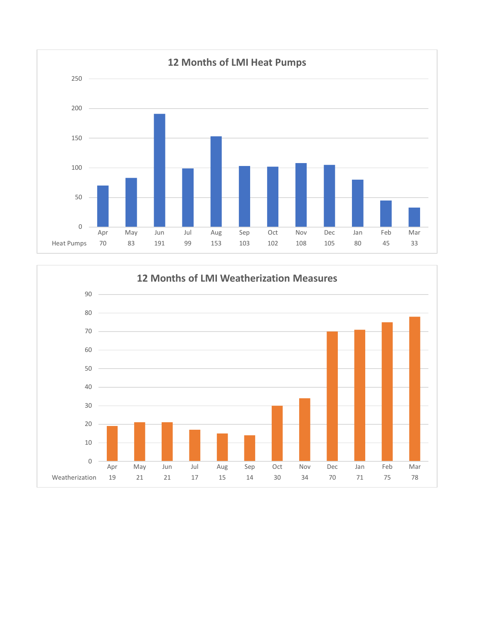